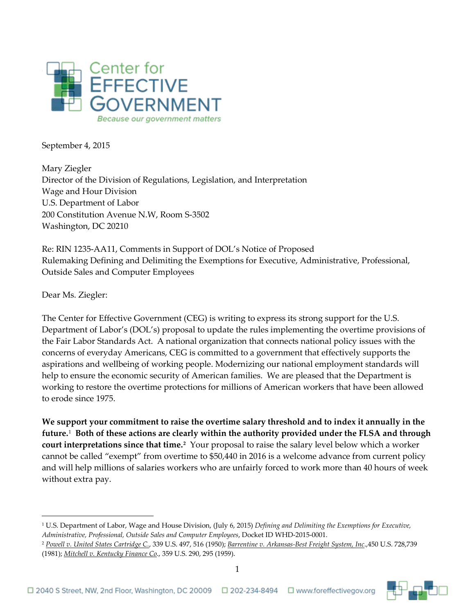

September 4, 2015

Mary Ziegler Director of the Division of Regulations, Legislation, and Interpretation Wage and Hour Division U.S. Department of Labor 200 Constitution Avenue N.W, Room S-3502 Washington, DC 20210

Re: RIN 1235-AA11, Comments in Support of DOL's Notice of Proposed Rulemaking Defining and Delimiting the Exemptions for Executive, Administrative, Professional, Outside Sales and Computer Employees

Dear Ms. Ziegler:

 $\overline{a}$ 

The Center for Effective Government (CEG) is writing to express its strong support for the U.S. Department of Labor's (DOL's) proposal to update the rules implementing the overtime provisions of the Fair Labor Standards Act. A national organization that connects national policy issues with the concerns of everyday Americans, CEG is committed to a government that effectively supports the aspirations and wellbeing of working people. Modernizing our national employment standards will help to ensure the economic security of American families. We are pleased that the Department is working to restore the overtime protections for millions of American workers that have been allowed to erode since 1975.

**We support your commitment to raise the overtime salary threshold and to index it annually in the future.**[1](#page-0-0) **Both of these actions are clearly within the authority provided under the FLSA and through court interpretations since that time.[2](#page-0-1)** Your proposal to raise the salary level below which a worker cannot be called "exempt" from overtime to \$50,440 in 2016 is a welcome advance from current policy and will help millions of salaries workers who are unfairly forced to work more than 40 hours of week without extra pay.

<span id="page-0-0"></span><sup>1</sup> U.S. Department of Labor, Wage and House Division, (July 6, 2015) *Defining and Delimiting the Exemptions for Executive, Administrative, Professional, Outside Sales and Computer Employees*, Docket ID WHD-2015-0001.

<span id="page-0-1"></span><sup>2</sup> *Powell v. United States Cartridge C.*, 339 U.S. 497, 516 (1950); *Barrentine v. Arkansas-Best Freight System, Inc*.,450 U.S. 728,739 (1981); *Mitchell v. Kentucky Finance Co*., 359 U.S. 290, 295 (1959).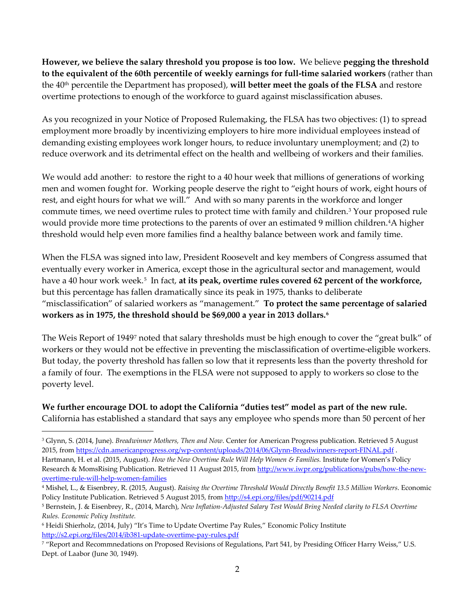**However, we believe the salary threshold you propose is too low.** We believe **pegging the threshold to the equivalent of the 60th percentile of weekly earnings for full-time salaried workers** (rather than the 40th percentile the Department has proposed), **will better meet the goals of the FLSA** and restore overtime protections to enough of the workforce to guard against misclassification abuses.

As you recognized in your Notice of Proposed Rulemaking, the FLSA has two objectives: (1) to spread employment more broadly by incentivizing employers to hire more individual employees instead of demanding existing employees work longer hours, to reduce involuntary unemployment; and (2) to reduce overwork and its detrimental effect on the health and wellbeing of workers and their families.

We would add another: to restore the right to a 40 hour week that millions of generations of working men and women fought for. Working people deserve the right to "eight hours of work, eight hours of rest, and eight hours for what we will." And with so many parents in the workforce and longer commute times, we need overtime rules to protect time with family and children.[3](#page-1-0) Your proposed rule would provide more time protections to the parents of over an estimated 9 million children.[4A](#page-1-1) higher threshold would help even more families find a healthy balance between work and family time.

When the FLSA was signed into law, President Roosevelt and key members of Congress assumed that eventually every worker in America, except those in the agricultural sector and management, would have a 40 hour work week.<sup>[5](#page-1-2)</sup> In fact, at its peak, overtime rules covered 62 percent of the workforce, but this percentage has fallen dramatically since its peak in 1975, thanks to deliberate "misclassification" of salaried workers as "management." **To protect the same percentage of salaried workers as in 1975, the threshold should be \$69,000 a year in 2013 dollars.[6](#page-1-3)**

The Weis Report of 1949[7](#page-1-4) noted that salary thresholds must be high enough to cover the "great bulk" of workers or they would not be effective in preventing the misclassification of overtime-eligible workers. But today, the poverty threshold has fallen so low that it represents less than the poverty threshold for a family of four. The exemptions in the FLSA were not supposed to apply to workers so close to the poverty level.

**We further encourage DOL to adopt the California "duties test" model as part of the new rule.**  California has established a standard that says any employee who spends more than 50 percent of her

 $\overline{a}$ 

<span id="page-1-0"></span><sup>3</sup> Glynn, S. (2014, June). *Breadwinner Mothers, Then and Now*. Center for American Progress publication. Retrieved 5 August 2015, from<https://cdn.americanprogress.org/wp-content/uploads/2014/06/Glynn-Breadwinners-report-FINAL.pdf> . Hartmann, H. et al. (2015, August). *How the New Overtime Rule Will Help Women & Families.* Institute for Women's Policy Research & MomsRising Publication. Retrieved 11 August 2015, from [http://www.iwpr.org/publications/pubs/how-the-new](http://www.iwpr.org/publications/pubs/how-the-new-overtime-rule-will-help-women-families)[overtime-rule-will-help-women-families](http://www.iwpr.org/publications/pubs/how-the-new-overtime-rule-will-help-women-families)

<span id="page-1-1"></span><sup>4</sup> Mishel, L., & Eisenbrey, R. (2015, August). *Raising the Overtime Threshold Would Directly Benefit 13.5 Million Workers*. Economic Policy Institute Publication. Retrieved 5 August 2015, from<http://s4.epi.org/files/pdf/90214.pdf>

<span id="page-1-2"></span><sup>5</sup> Bernstein, J. & Eisenbrey, R., (2014, March), *New Inflation-Adjusted Salary Test Would Bring Needed clarity to FLSA Overtime Rules. Economic Policy Institute.* 

<span id="page-1-3"></span><sup>6</sup> Heidi Shierholz, (2014, July) "It's Time to Update Overtime Pay Rules," Economic Policy Institute <http://s2.epi.org/files/2014/ib381-update-overtime-pay-rules.pdf>

<span id="page-1-4"></span><sup>7</sup> "Report and Recommnedations on Proposed Revisions of Regulations, Part 541, by Presiding Officer Harry Weiss," U.S. Dept. of Laabor (June 30, 1949).